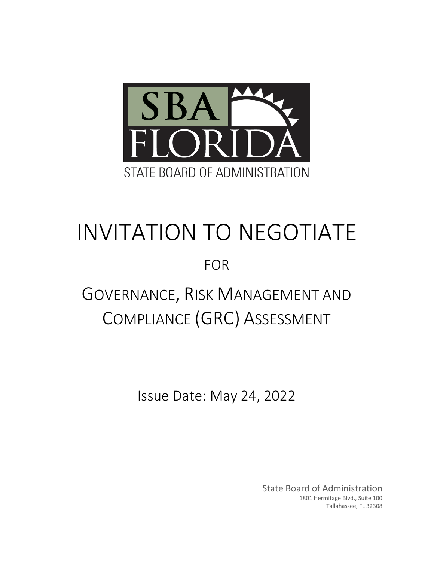

# INVITATION TO NEGOTIATE

FOR

## GOVERNANCE, RISK MANAGEMENT AND COMPLIANCE (GRC) ASSESSMENT

Issue Date: May 24, 2022

State Board of Administration 1801 Hermitage Blvd., Suite 100 Tallahassee, FL 32308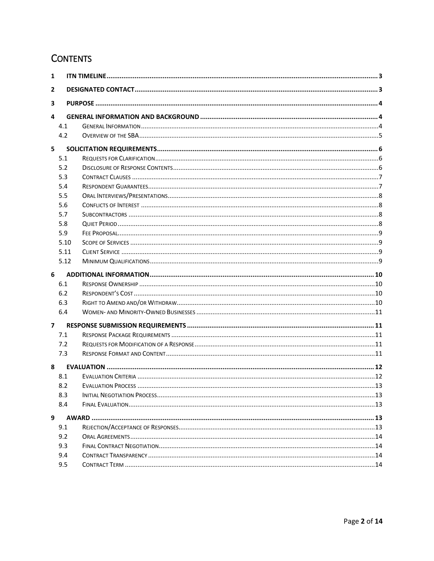### **CONTENTS**

| $\mathbf{1}$   |      |  |  |  |
|----------------|------|--|--|--|
| $\mathbf{2}$   |      |  |  |  |
| 3              |      |  |  |  |
| 4              |      |  |  |  |
|                | 4.1  |  |  |  |
|                | 4.2  |  |  |  |
| 5              |      |  |  |  |
|                | 5.1  |  |  |  |
|                | 5.2  |  |  |  |
|                | 5.3  |  |  |  |
|                | 5.4  |  |  |  |
|                | 5.5  |  |  |  |
|                | 5.6  |  |  |  |
|                | 5.7  |  |  |  |
|                | 5.8  |  |  |  |
|                | 5.9  |  |  |  |
|                | 5.10 |  |  |  |
|                | 5.11 |  |  |  |
|                | 5.12 |  |  |  |
| 6              |      |  |  |  |
|                | 6.1  |  |  |  |
|                | 6.2  |  |  |  |
|                | 6.3  |  |  |  |
|                | 6.4  |  |  |  |
| $\overline{ }$ |      |  |  |  |
|                | 7.1  |  |  |  |
|                | 7.2  |  |  |  |
|                | 7.3  |  |  |  |
| 8              |      |  |  |  |
|                | 8.1  |  |  |  |
|                | 8.2  |  |  |  |
|                | 8.3  |  |  |  |
|                | 8.4  |  |  |  |
|                |      |  |  |  |
| 9              |      |  |  |  |
|                | 9.1  |  |  |  |
|                | 9.2  |  |  |  |
|                | 9.3  |  |  |  |
|                | 9.4  |  |  |  |
|                | 9.5  |  |  |  |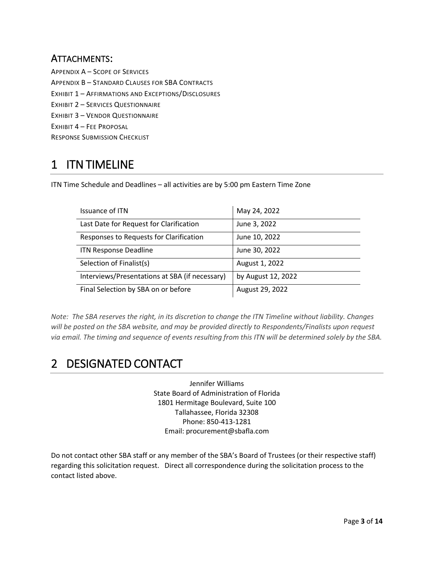### ATTACHMENTS:

APPENDIX A – SCOPE OF SERVICES APPENDIX B – STANDARD CLAUSES FOR SBA CONTRACTS EXHIBIT 1 – AFFIRMATIONS AND EXCEPTIONS/DISCLOSURES EXHIBIT 2 – SERVICES QUESTIONNAIRE EXHIBIT 3 – VENDOR QUESTIONNAIRE EXHIBIT 4 – FEE PROPOSAL RESPONSE SUBMISSION CHECKLIST

### <span id="page-2-0"></span>1 ITN TIMELINE

ITN Time Schedule and Deadlines – all activities are by 5:00 pm Eastern Time Zone

| Issuance of ITN                                | May 24, 2022       |
|------------------------------------------------|--------------------|
| Last Date for Request for Clarification        | June 3, 2022       |
| Responses to Requests for Clarification        | June 10, 2022      |
| <b>ITN Response Deadline</b>                   | June 30, 2022      |
| Selection of Finalist(s)                       | August 1, 2022     |
| Interviews/Presentations at SBA (if necessary) | by August 12, 2022 |
| Final Selection by SBA on or before            | August 29, 2022    |

*Note: The SBA reserves the right, in its discretion to change the ITN Timeline without liability. Changes will be posted on the SBA website, and may be provided directly to Respondents/Finalists upon request via email. The timing and sequence of events resulting from this ITN will be determined solely by the SBA.*

### <span id="page-2-1"></span>2 DESIGNATED CONTACT

Jennifer Williams State Board of Administration of Florida 1801 Hermitage Boulevard, Suite 100 Tallahassee, Florida 32308 Phone: 850-413-1281 Email: procurement@sbafla.com

Do not contact other SBA staff or any member of the SBA's Board of Trustees (or their respective staff) regarding this solicitation request. Direct all correspondence during the solicitation process to the contact listed above.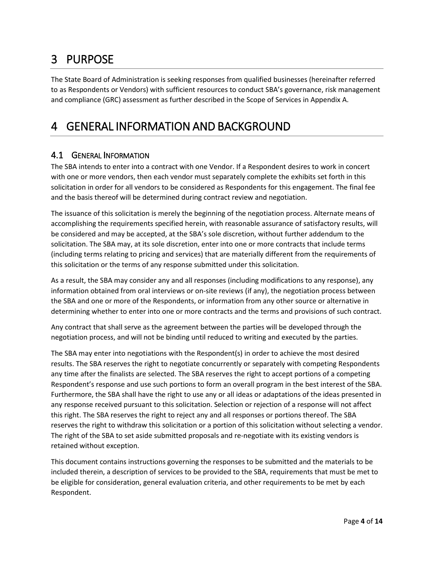### <span id="page-3-0"></span>3 PURPOSE

The State Board of Administration is seeking responses from qualified businesses (hereinafter referred to as Respondents or Vendors) with sufficient resources to conduct SBA's governance, risk management and compliance (GRC) assessment as further described in the Scope of Services in Appendix A.

### <span id="page-3-1"></span>4 GENERAL INFORMATION AND BACKGROUND

### <span id="page-3-2"></span>4.1 GENERAL INFORMATION

The SBA intends to enter into a contract with one Vendor. If a Respondent desires to work in concert with one or more vendors, then each vendor must separately complete the exhibits set forth in this solicitation in order for all vendors to be considered as Respondents for this engagement. The final fee and the basis thereof will be determined during contract review and negotiation.

The issuance of this solicitation is merely the beginning of the negotiation process. Alternate means of accomplishing the requirements specified herein, with reasonable assurance of satisfactory results, will be considered and may be accepted, at the SBA's sole discretion, without further addendum to the solicitation. The SBA may, at its sole discretion, enter into one or more contracts that include terms (including terms relating to pricing and services) that are materially different from the requirements of this solicitation or the terms of any response submitted under this solicitation.

As a result, the SBA may consider any and all responses (including modifications to any response), any information obtained from oral interviews or on-site reviews (if any), the negotiation process between the SBA and one or more of the Respondents, or information from any other source or alternative in determining whether to enter into one or more contracts and the terms and provisions of such contract.

Any contract that shall serve as the agreement between the parties will be developed through the negotiation process, and will not be binding until reduced to writing and executed by the parties.

The SBA may enter into negotiations with the Respondent(s) in order to achieve the most desired results. The SBA reserves the right to negotiate concurrently or separately with competing Respondents any time after the finalists are selected. The SBA reserves the right to accept portions of a competing Respondent's response and use such portions to form an overall program in the best interest of the SBA. Furthermore, the SBA shall have the right to use any or all ideas or adaptations of the ideas presented in any response received pursuant to this solicitation. Selection or rejection of a response will not affect this right. The SBA reserves the right to reject any and all responses or portions thereof. The SBA reserves the right to withdraw this solicitation or a portion of this solicitation without selecting a vendor. The right of the SBA to set aside submitted proposals and re-negotiate with its existing vendors is retained without exception.

This document contains instructions governing the responses to be submitted and the materials to be included therein, a description of services to be provided to the SBA, requirements that must be met to be eligible for consideration, general evaluation criteria, and other requirements to be met by each Respondent.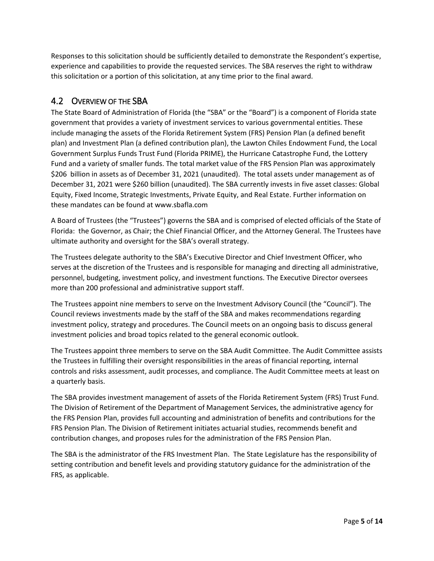Responses to this solicitation should be sufficiently detailed to demonstrate the Respondent's expertise, experience and capabilities to provide the requested services. The SBA reserves the right to withdraw this solicitation or a portion of this solicitation, at any time prior to the final award.

### <span id="page-4-0"></span>4.2 OVERVIEW OF THE SBA

The State Board of Administration of Florida (the "SBA" or the "Board") is a component of Florida state government that provides a variety of investment services to various governmental entities. These include managing the assets of the Florida Retirement System (FRS) Pension Plan (a defined benefit plan) and Investment Plan (a defined contribution plan), the Lawton Chiles Endowment Fund, the Local Government Surplus Funds Trust Fund (Florida PRIME), the Hurricane Catastrophe Fund, the Lottery Fund and a variety of smaller funds. The total market value of the FRS Pension Plan was approximately \$206 billion in assets as of December 31, 2021 (unaudited). The total assets under management as of December 31, 2021 were \$260 billion (unaudited). The SBA currently invests in five asset classes: Global Equity, Fixed Income, Strategic Investments, Private Equity, and Real Estate. Further information on these mandates can be found at www.sbafla.com

A Board of Trustees (the "Trustees") governs the SBA and is comprised of elected officials of the State of Florida: the Governor, as Chair; the Chief Financial Officer, and the Attorney General. The Trustees have ultimate authority and oversight for the SBA's overall strategy.

The Trustees delegate authority to the SBA's Executive Director and Chief Investment Officer, who serves at the discretion of the Trustees and is responsible for managing and directing all administrative, personnel, budgeting, investment policy, and investment functions. The Executive Director oversees more than 200 professional and administrative support staff.

The Trustees appoint nine members to serve on the Investment Advisory Council (the "Council"). The Council reviews investments made by the staff of the SBA and makes recommendations regarding investment policy, strategy and procedures. The Council meets on an ongoing basis to discuss general investment policies and broad topics related to the general economic outlook.

The Trustees appoint three members to serve on the SBA Audit Committee. The Audit Committee assists the Trustees in fulfilling their oversight responsibilities in the areas of financial reporting, internal controls and risks assessment, audit processes, and compliance. The Audit Committee meets at least on a quarterly basis.

The SBA provides investment management of assets of the Florida Retirement System (FRS) Trust Fund. The Division of Retirement of the Department of Management Services, the administrative agency for the FRS Pension Plan, provides full accounting and administration of benefits and contributions for the FRS Pension Plan. The Division of Retirement initiates actuarial studies, recommends benefit and contribution changes, and proposes rules for the administration of the FRS Pension Plan.

The SBA is the administrator of the FRS Investment Plan. The State Legislature has the responsibility of setting contribution and benefit levels and providing statutory guidance for the administration of the FRS, as applicable.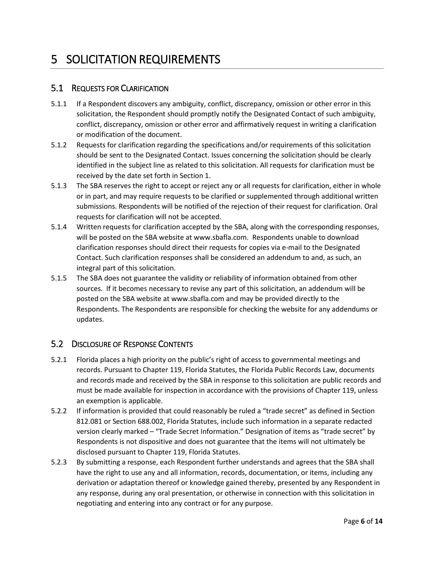### <span id="page-5-0"></span>5 SOLICITATION REQUIREMENTS

### <span id="page-5-1"></span>5.1 REQUESTS FOR CLARIFICATION

- 5.1.1 If a Respondent discovers any ambiguity, conflict, discrepancy, omission or other error in this solicitation, the Respondent should promptly notify the Designated Contact of such ambiguity, conflict, discrepancy, omission or other error and affirmatively request in writing a clarification or modification of the document.
- 5.1.2 Requests for clarification regarding the specifications and/or requirements of this solicitation should be sent to the Designated Contact. Issues concerning the solicitation should be clearly identified in the subject line as related to this solicitation. All requests for clarification must be received by the date set forth in Section 1.
- 5.1.3 The SBA reserves the right to accept or reject any or all requests for clarification, either in whole or in part, and may require requests to be clarified or supplemented through additional written submissions. Respondents will be notified of the rejection of their request for clarification. Oral requests for clarification will not be accepted.
- 5.1.4 Written requests for clarification accepted by the SBA, along with the corresponding responses, will be posted on the SBA website at www.sbafla.com. Respondents unable to download clarification responses should direct their requests for copies via e-mail to the Designated Contact. Such clarification responses shall be considered an addendum to and, as such, an integral part of this solicitation.
- 5.1.5 The SBA does not guarantee the validity or reliability of information obtained from other sources. If it becomes necessary to revise any part of this solicitation, an addendum will be posted on the SBA website at www.sbafla.com and may be provided directly to the Respondents. The Respondents are responsible for checking the website for any addendums or updates.

### <span id="page-5-2"></span>5.2 DISCLOSURE OF RESPONSE CONTENTS

- 5.2.1 Florida places a high priority on the public's right of access to governmental meetings and records. Pursuant to Chapter 119, Florida Statutes, the Florida Public Records Law, documents and records made and received by the SBA in response to this solicitation are public records and must be made available for inspection in accordance with the provisions of Chapter 119, unless an exemption is applicable.
- 5.2.2 If information is provided that could reasonably be ruled a "trade secret" as defined in Section 812.081 or Section 688.002, Florida Statutes, include such information in a separate redacted version clearly marked – "Trade Secret Information." Designation of items as "trade secret" by Respondents is not dispositive and does not guarantee that the items will not ultimately be disclosed pursuant to Chapter 119, Florida Statutes.
- 5.2.3 By submitting a response, each Respondent further understands and agrees that the SBA shall have the right to use any and all information, records, documentation, or items, including any derivation or adaptation thereof or knowledge gained thereby, presented by any Respondent in any response, during any oral presentation, or otherwise in connection with this solicitation in negotiating and entering into any contract or for any purpose.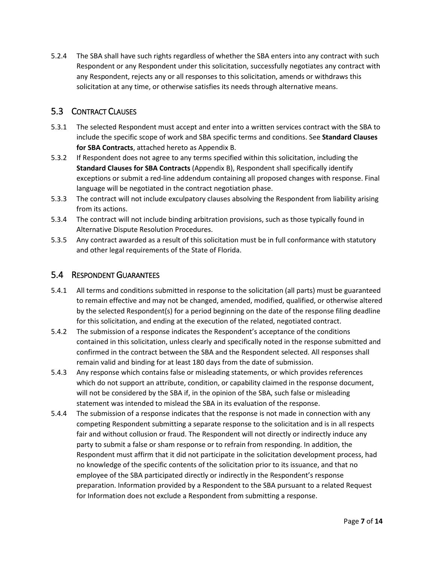5.2.4 The SBA shall have such rights regardless of whether the SBA enters into any contract with such Respondent or any Respondent under this solicitation, successfully negotiates any contract with any Respondent, rejects any or all responses to this solicitation, amends or withdraws this solicitation at any time, or otherwise satisfies its needs through alternative means.

#### <span id="page-6-0"></span>5.3 CONTRACT CLAUSES

- 5.3.1 The selected Respondent must accept and enter into a written services contract with the SBA to include the specific scope of work and SBA specific terms and conditions. See **Standard Clauses for SBA Contracts**, attached hereto as Appendix B.
- 5.3.2 If Respondent does not agree to any terms specified within this solicitation, including the **Standard Clauses for SBA Contracts** (Appendix B), Respondent shall specifically identify exceptions or submit a red-line addendum containing all proposed changes with response. Final language will be negotiated in the contract negotiation phase.
- 5.3.3 The contract will not include exculpatory clauses absolving the Respondent from liability arising from its actions.
- 5.3.4 The contract will not include binding arbitration provisions, such as those typically found in Alternative Dispute Resolution Procedures.
- 5.3.5 Any contract awarded as a result of this solicitation must be in full conformance with statutory and other legal requirements of the State of Florida.

#### <span id="page-6-1"></span>5.4 RESPONDENT GUARANTEES

- 5.4.1 All terms and conditions submitted in response to the solicitation (all parts) must be guaranteed to remain effective and may not be changed, amended, modified, qualified, or otherwise altered by the selected Respondent(s) for a period beginning on the date of the response filing deadline for this solicitation, and ending at the execution of the related, negotiated contract.
- 5.4.2 The submission of a response indicates the Respondent's acceptance of the conditions contained in this solicitation, unless clearly and specifically noted in the response submitted and confirmed in the contract between the SBA and the Respondent selected. All responses shall remain valid and binding for at least 180 days from the date of submission.
- 5.4.3 Any response which contains false or misleading statements, or which provides references which do not support an attribute, condition, or capability claimed in the response document, will not be considered by the SBA if, in the opinion of the SBA, such false or misleading statement was intended to mislead the SBA in its evaluation of the response.
- 5.4.4 The submission of a response indicates that the response is not made in connection with any competing Respondent submitting a separate response to the solicitation and is in all respects fair and without collusion or fraud. The Respondent will not directly or indirectly induce any party to submit a false or sham response or to refrain from responding. In addition, the Respondent must affirm that it did not participate in the solicitation development process, had no knowledge of the specific contents of the solicitation prior to its issuance, and that no employee of the SBA participated directly or indirectly in the Respondent's response preparation. Information provided by a Respondent to the SBA pursuant to a related Request for Information does not exclude a Respondent from submitting a response.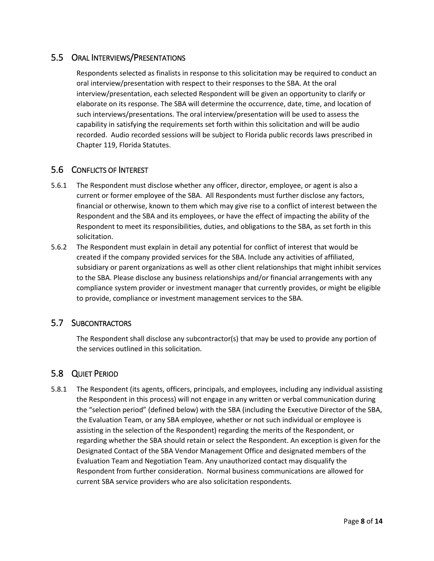### <span id="page-7-0"></span>5.5 ORAL INTERVIEWS/PRESENTATIONS

Respondents selected as finalists in response to this solicitation may be required to conduct an oral interview/presentation with respect to their responses to the SBA. At the oral interview/presentation, each selected Respondent will be given an opportunity to clarify or elaborate on its response. The SBA will determine the occurrence, date, time, and location of such interviews/presentations. The oral interview/presentation will be used to assess the capability in satisfying the requirements set forth within this solicitation and will be audio recorded. Audio recorded sessions will be subject to Florida public records laws prescribed in Chapter 119, Florida Statutes.

### <span id="page-7-1"></span>5.6 CONFLICTS OF INTEREST

- 5.6.1 The Respondent must disclose whether any officer, director, employee, or agent is also a current or former employee of the SBA. All Respondents must further disclose any factors, financial or otherwise, known to them which may give rise to a conflict of interest between the Respondent and the SBA and its employees, or have the effect of impacting the ability of the Respondent to meet its responsibilities, duties, and obligations to the SBA, as set forth in this solicitation.
- 5.6.2 The Respondent must explain in detail any potential for conflict of interest that would be created if the company provided services for the SBA. Include any activities of affiliated, subsidiary or parent organizations as well as other client relationships that might inhibit services to the SBA. Please disclose any business relationships and/or financial arrangements with any compliance system provider or investment manager that currently provides, or might be eligible to provide, compliance or investment management services to the SBA.

#### <span id="page-7-2"></span>5.7 SUBCONTRACTORS

The Respondent shall disclose any subcontractor(s) that may be used to provide any portion of the services outlined in this solicitation.

### <span id="page-7-3"></span>5.8 QUIET PERIOD

5.8.1 The Respondent (its agents, officers, principals, and employees, including any individual assisting the Respondent in this process) will not engage in any written or verbal communication during the "selection period" (defined below) with the SBA (including the Executive Director of the SBA, the Evaluation Team, or any SBA employee, whether or not such individual or employee is assisting in the selection of the Respondent) regarding the merits of the Respondent, or regarding whether the SBA should retain or select the Respondent. An exception is given for the Designated Contact of the SBA Vendor Management Office and designated members of the Evaluation Team and Negotiation Team. Any unauthorized contact may disqualify the Respondent from further consideration. Normal business communications are allowed for current SBA service providers who are also solicitation respondents.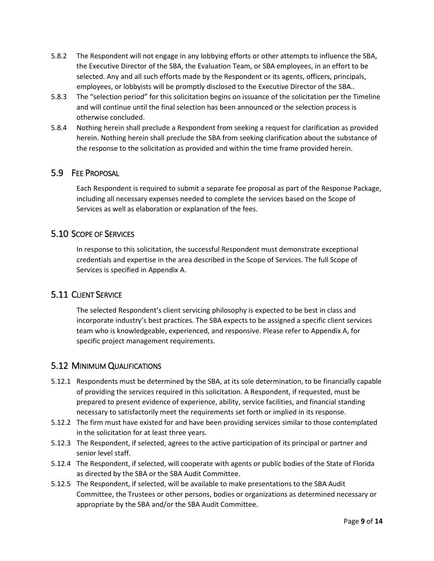- 5.8.2 The Respondent will not engage in any lobbying efforts or other attempts to influence the SBA, the Executive Director of the SBA, the Evaluation Team, or SBA employees, in an effort to be selected. Any and all such efforts made by the Respondent or its agents, officers, principals, employees, or lobbyists will be promptly disclosed to the Executive Director of the SBA..
- 5.8.3 The "selection period" for this solicitation begins on issuance of the solicitation per the Timeline and will continue until the final selection has been announced or the selection process is otherwise concluded.
- 5.8.4 Nothing herein shall preclude a Respondent from seeking a request for clarification as provided herein. Nothing herein shall preclude the SBA from seeking clarification about the substance of the response to the solicitation as provided and within the time frame provided herein.

#### <span id="page-8-0"></span>5.9 FEE PROPOSAL

Each Respondent is required to submit a separate fee proposal as part of the Response Package, including all necessary expenses needed to complete the services based on the Scope of Services as well as elaboration or explanation of the fees.

### <span id="page-8-1"></span>5.10 SCOPE OF SERVICES

In response to this solicitation, the successful Respondent must demonstrate exceptional credentials and expertise in the area described in the Scope of Services. The full Scope of Services is specified in Appendix A.

### <span id="page-8-2"></span>5.11 CLIENT SERVICE

The selected Respondent's client servicing philosophy is expected to be best in class and incorporate industry's best practices. The SBA expects to be assigned a specific client services team who is knowledgeable, experienced, and responsive. Please refer to Appendix A, for specific project management requirements.

### <span id="page-8-3"></span>5.12 MINIMUM QUALIFICATIONS

- 5.12.1 Respondents must be determined by the SBA, at its sole determination, to be financially capable of providing the services required in this solicitation. A Respondent, if requested, must be prepared to present evidence of experience, ability, service facilities, and financial standing necessary to satisfactorily meet the requirements set forth or implied in its response.
- 5.12.2 The firm must have existed for and have been providing services similar to those contemplated in the solicitation for at least three years.
- 5.12.3 The Respondent, if selected, agrees to the active participation of its principal or partner and senior level staff.
- 5.12.4 The Respondent, if selected, will cooperate with agents or public bodies of the State of Florida as directed by the SBA or the SBA Audit Committee.
- 5.12.5 The Respondent, if selected, will be available to make presentations to the SBA Audit Committee, the Trustees or other persons, bodies or organizations as determined necessary or appropriate by the SBA and/or the SBA Audit Committee.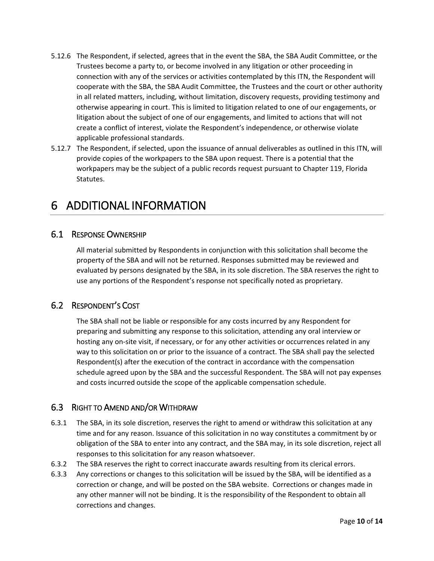- 5.12.6 The Respondent, if selected, agrees that in the event the SBA, the SBA Audit Committee, or the Trustees become a party to, or become involved in any litigation or other proceeding in connection with any of the services or activities contemplated by this ITN, the Respondent will cooperate with the SBA, the SBA Audit Committee, the Trustees and the court or other authority in all related matters, including, without limitation, discovery requests, providing testimony and otherwise appearing in court. This is limited to litigation related to one of our engagements, or litigation about the subject of one of our engagements, and limited to actions that will not create a conflict of interest, violate the Respondent's independence, or otherwise violate applicable professional standards.
- 5.12.7 The Respondent, if selected, upon the issuance of annual deliverables as outlined in this ITN, will provide copies of the workpapers to the SBA upon request. There is a potential that the workpapers may be the subject of a public records request pursuant to Chapter 119, Florida Statutes.

### <span id="page-9-0"></span>6 ADDITIONAL INFORMATION

### <span id="page-9-1"></span>6.1 RESPONSE OWNERSHIP

All material submitted by Respondents in conjunction with this solicitation shall become the property of the SBA and will not be returned. Responses submitted may be reviewed and evaluated by persons designated by the SBA, in its sole discretion. The SBA reserves the right to use any portions of the Respondent's response not specifically noted as proprietary.

### <span id="page-9-2"></span>6.2 RESPONDENT'S COST

The SBA shall not be liable or responsible for any costs incurred by any Respondent for preparing and submitting any response to this solicitation, attending any oral interview or hosting any on-site visit, if necessary, or for any other activities or occurrences related in any way to this solicitation on or prior to the issuance of a contract. The SBA shall pay the selected Respondent(s) after the execution of the contract in accordance with the compensation schedule agreed upon by the SBA and the successful Respondent. The SBA will not pay expenses and costs incurred outside the scope of the applicable compensation schedule.

#### <span id="page-9-3"></span>6.3 RIGHT TO AMEND AND/OR WITHDRAW

- 6.3.1 The SBA, in its sole discretion, reserves the right to amend or withdraw this solicitation at any time and for any reason. Issuance of this solicitation in no way constitutes a commitment by or obligation of the SBA to enter into any contract, and the SBA may, in its sole discretion, reject all responses to this solicitation for any reason whatsoever.
- 6.3.2 The SBA reserves the right to correct inaccurate awards resulting from its clerical errors.
- 6.3.3 Any corrections or changes to this solicitation will be issued by the SBA, will be identified as a correction or change, and will be posted on the SBA website. Corrections or changes made in any other manner will not be binding. It is the responsibility of the Respondent to obtain all corrections and changes.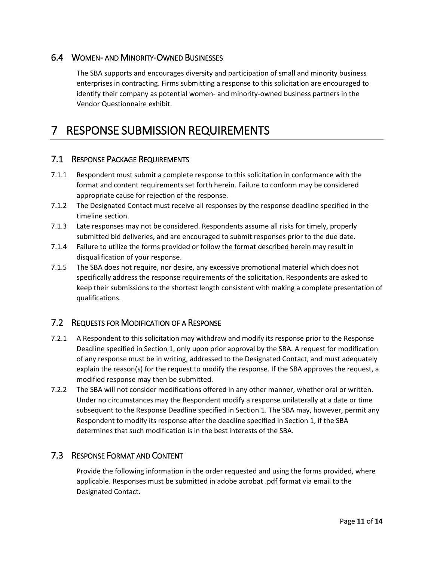### <span id="page-10-0"></span>6.4 WOMEN- AND MINORITY-OWNED BUSINESSES

The SBA supports and encourages diversity and participation of small and minority business enterprises in contracting. Firms submitting a response to this solicitation are encouraged to identify their company as potential women- and minority-owned business partners in the Vendor Questionnaire exhibit.

### <span id="page-10-1"></span>7 RESPONSE SUBMISSION REQUIREMENTS

#### <span id="page-10-2"></span>7.1 RESPONSE PACKAGE REQUIREMENTS

- 7.1.1 Respondent must submit a complete response to this solicitation in conformance with the format and content requirements set forth herein. Failure to conform may be considered appropriate cause for rejection of the response.
- 7.1.2 The Designated Contact must receive all responses by the response deadline specified in the timeline section.
- 7.1.3 Late responses may not be considered. Respondents assume all risks for timely, properly submitted bid deliveries, and are encouraged to submit responses prior to the due date.
- 7.1.4 Failure to utilize the forms provided or follow the format described herein may result in disqualification of your response.
- 7.1.5 The SBA does not require, nor desire, any excessive promotional material which does not specifically address the response requirements of the solicitation. Respondents are asked to keep their submissions to the shortest length consistent with making a complete presentation of qualifications.

#### <span id="page-10-3"></span>7.2 REQUESTS FOR MODIFICATION OF A RESPONSE

- 7.2.1 A Respondent to this solicitation may withdraw and modify its response prior to the Response Deadline specified in Section 1, only upon prior approval by the SBA. A request for modification of any response must be in writing, addressed to the Designated Contact, and must adequately explain the reason(s) for the request to modify the response. If the SBA approves the request, a modified response may then be submitted.
- 7.2.2 The SBA will not consider modifications offered in any other manner, whether oral or written. Under no circumstances may the Respondent modify a response unilaterally at a date or time subsequent to the Response Deadline specified in Section 1. The SBA may, however, permit any Respondent to modify its response after the deadline specified in Section 1, if the SBA determines that such modification is in the best interests of the SBA.

#### <span id="page-10-4"></span>7.3 RESPONSE FORMAT AND CONTENT

Provide the following information in the order requested and using the forms provided, where applicable. Responses must be submitted in adobe acrobat .pdf format via email to the Designated Contact.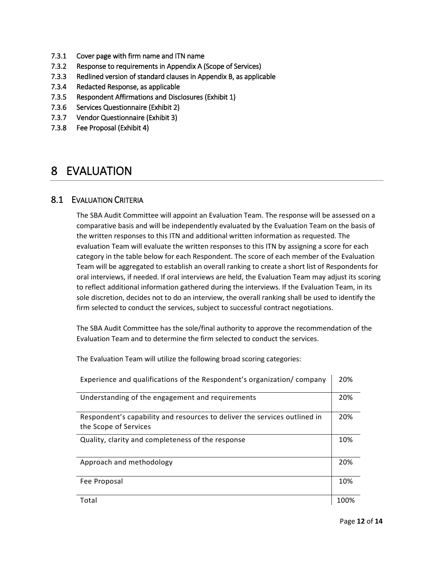- <span id="page-11-0"></span>7.3.1 Cover page with firm name and ITN name
- 7.3.2 Response to requirements in Appendix A (Scope of Services)
- 7.3.3 Redlined version of standard clauses in Appendix B, as applicable
- 7.3.4 Redacted Response, as applicable
- 7.3.5 Respondent Affirmations and Disclosures (Exhibit 1)
- 7.3.6 Services Questionnaire (Exhibit 2)
- 7.3.7 Vendor Questionnaire (Exhibit 3)
- 7.3.8 Fee Proposal (Exhibit 4)

### 8 EVALUATION

#### <span id="page-11-1"></span>8.1 EVALUATION CRITERIA

The SBA Audit Committee will appoint an Evaluation Team. The response will be assessed on a comparative basis and will be independently evaluated by the Evaluation Team on the basis of the written responses to this ITN and additional written information as requested. The evaluation Team will evaluate the written responses to this ITN by assigning a score for each category in the table below for each Respondent. The score of each member of the Evaluation Team will be aggregated to establish an overall ranking to create a short list of Respondents for oral interviews, if needed. If oral interviews are held, the Evaluation Team may adjust its scoring to reflect additional information gathered during the interviews. If the Evaluation Team, in its sole discretion, decides not to do an interview, the overall ranking shall be used to identify the firm selected to conduct the services, subject to successful contract negotiations.

The SBA Audit Committee has the sole/final authority to approve the recommendation of the Evaluation Team and to determine the firm selected to conduct the services.

The Evaluation Team will utilize the following broad scoring categories:

| Experience and qualifications of the Respondent's organization/ company                            |      |  |
|----------------------------------------------------------------------------------------------------|------|--|
| Understanding of the engagement and requirements                                                   | 20%  |  |
| Respondent's capability and resources to deliver the services outlined in<br>the Scope of Services | 20%  |  |
| Quality, clarity and completeness of the response                                                  | 10%  |  |
| Approach and methodology                                                                           | 20%  |  |
| Fee Proposal                                                                                       | 10%  |  |
| Total                                                                                              | 100% |  |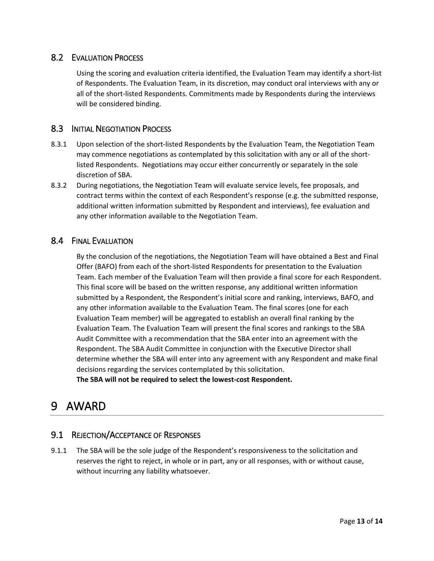### <span id="page-12-0"></span>8.2 EVALUATION PROCESS

Using the scoring and evaluation criteria identified, the Evaluation Team may identify a short-list of Respondents. The Evaluation Team, in its discretion, may conduct oral interviews with any or all of the short-listed Respondents. Commitments made by Respondents during the interviews will be considered binding.

### <span id="page-12-1"></span>8.3 INITIAL NEGOTIATION PROCESS

- 8.3.1 Upon selection of the short-listed Respondents by the Evaluation Team, the Negotiation Team may commence negotiations as contemplated by this solicitation with any or all of the shortlisted Respondents. Negotiations may occur either concurrently or separately in the sole discretion of SBA.
- 8.3.2 During negotiations, the Negotiation Team will evaluate service levels, fee proposals, and contract terms within the context of each Respondent's response (e.g. the submitted response, additional written information submitted by Respondent and interviews), fee evaluation and any other information available to the Negotiation Team.

#### <span id="page-12-2"></span>8.4 FINAL EVALUATION

By the conclusion of the negotiations, the Negotiation Team will have obtained a Best and Final Offer (BAFO) from each of the short-listed Respondents for presentation to the Evaluation Team. Each member of the Evaluation Team will then provide a final score for each Respondent. This final score will be based on the written response, any additional written information submitted by a Respondent, the Respondent's initial score and ranking, interviews, BAFO, and any other information available to the Evaluation Team. The final scores (one for each Evaluation Team member) will be aggregated to establish an overall final ranking by the Evaluation Team. The Evaluation Team will present the final scores and rankings to the SBA Audit Committee with a recommendation that the SBA enter into an agreement with the Respondent. The SBA Audit Committee in conjunction with the Executive Director shall determine whether the SBA will enter into any agreement with any Respondent and make final decisions regarding the services contemplated by this solicitation. **The SBA will not be required to select the lowest-cost Respondent.** 

### <span id="page-12-3"></span>9 AWARD

### <span id="page-12-4"></span>9.1 REJECTION/ACCEPTANCE OF RESPONSES

9.1.1 The SBA will be the sole judge of the Respondent's responsiveness to the solicitation and reserves the right to reject, in whole or in part, any or all responses, with or without cause, without incurring any liability whatsoever.